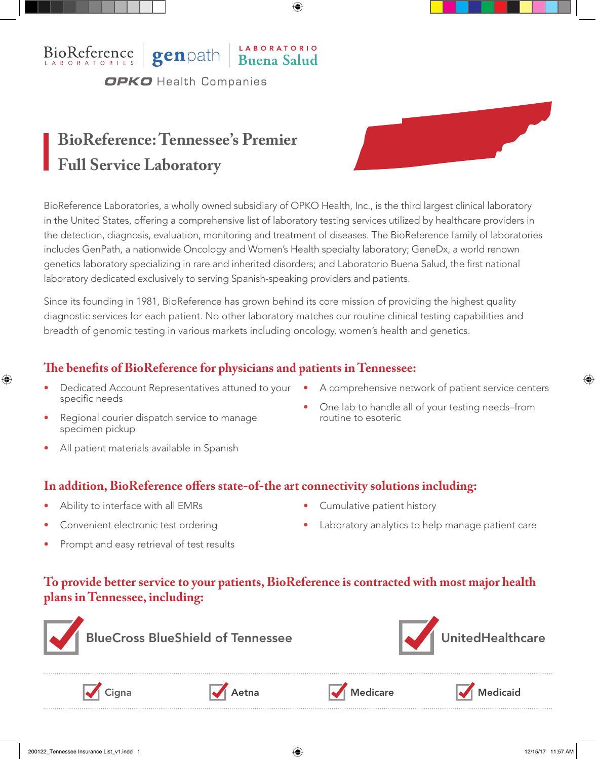## BioReference genpath Buena Salud **OPKO** Health Companies

# **BioReference: Tennessee's Premier Full Service Laboratory**

BioReference Laboratories, a wholly owned subsidiary of OPKO Health, Inc., is the third largest clinical laboratory in the United States, offering a comprehensive list of laboratory testing services utilized by healthcare providers in the detection, diagnosis, evaluation, monitoring and treatment of diseases. The BioReference family of laboratories includes GenPath, a nationwide Oncology and Women's Health specialty laboratory; GeneDx, a world renown genetics laboratory specializing in rare and inherited disorders; and Laboratorio Buena Salud, the first national laboratory dedicated exclusively to serving Spanish-speaking providers and patients.

Since its founding in 1981, BioReference has grown behind its core mission of providing the highest quality diagnostic services for each patient. No other laboratory matches our routine clinical testing capabilities and breadth of genomic testing in various markets including oncology, women's health and genetics.

### **The benefits of BioReference for physicians and patients in Tennessee:**

- Dedicated Account Representatives attuned to your A comprehensive network of patient service centers specific needs
- 
- Regional courier dispatch service to manage specimen pickup
- One lab to handle all of your testing needs–from routine to esoteric
- All patient materials available in Spanish

#### **In addition, BioReference offers state-of-the art connectivity solutions including:**

- Ability to interface with all EMRs
- Convenient electronic test ordering
- Cumulative patient history
- Laboratory analytics to help manage patient care
- Prompt and easy retrieval of test results

#### **To provide better service to your patients, BioReference is contracted with most major health plans in Tennessee, including:**



BlueCross BlueShield of Tennessee Van de VoltedHealthcare